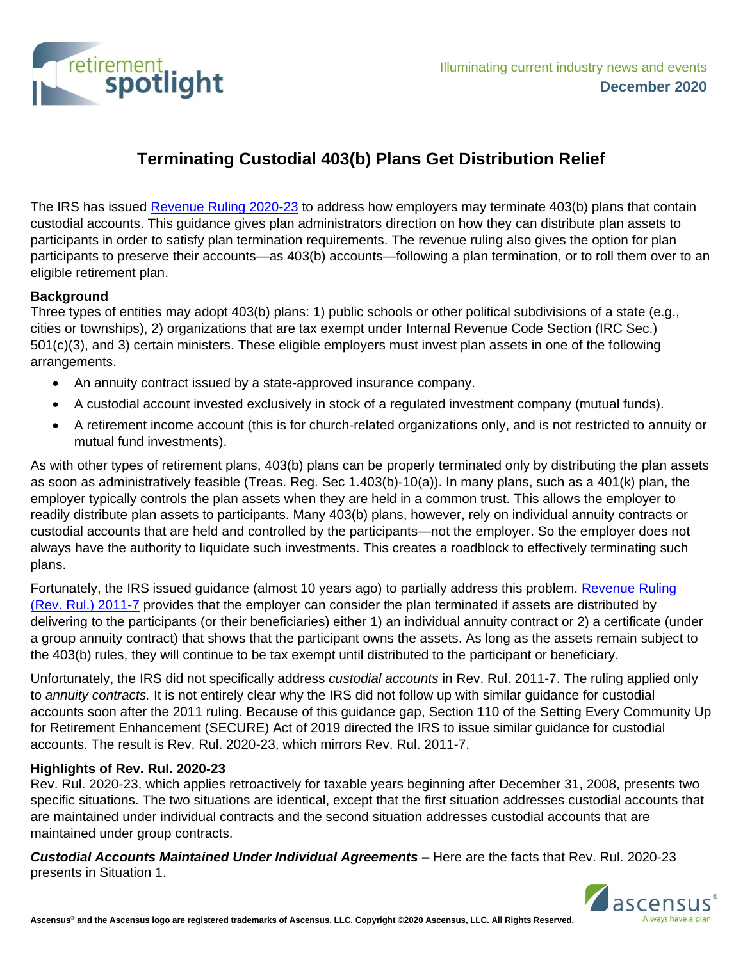

## **Terminating Custodial 403(b) Plans Get Distribution Relief**

The IRS has issued [Revenue Ruling 2020-23](https://www.irs.gov/pub/irs-drop/rr-20-23.pdf) to address how employers may terminate 403(b) plans that contain custodial accounts. This guidance gives plan administrators direction on how they can distribute plan assets to participants in order to satisfy plan termination requirements. The revenue ruling also gives the option for plan participants to preserve their accounts—as 403(b) accounts—following a plan termination, or to roll them over to an eligible retirement plan.

## **Background**

Three types of entities may adopt 403(b) plans: 1) public schools or other political subdivisions of a state (e.g., cities or townships), 2) organizations that are tax exempt under Internal Revenue Code Section (IRC Sec.) 501(c)(3), and 3) certain ministers. These eligible employers must invest plan assets in one of the following arrangements.

- An annuity contract issued by a state-approved insurance company.
- A custodial account invested exclusively in stock of a regulated investment company (mutual funds).
- A retirement income account (this is for church-related organizations only, and is not restricted to annuity or mutual fund investments).

As with other types of retirement plans, 403(b) plans can be properly terminated only by distributing the plan assets as soon as administratively feasible (Treas. Reg. Sec 1.403(b)-10(a)). In many plans, such as a 401(k) plan, the employer typically controls the plan assets when they are held in a common trust. This allows the employer to readily distribute plan assets to participants. Many 403(b) plans, however, rely on individual annuity contracts or custodial accounts that are held and controlled by the participants—not the employer. So the employer does not always have the authority to liquidate such investments. This creates a roadblock to effectively terminating such plans.

Fortunately, the IRS issued guidance (almost 10 years ago) to partially address this problem. [Revenue Ruling](https://www.irs.gov/pub/irs-irbs/irb11-10.pdf)  [\(Rev. Rul.\) 2011-7](https://www.irs.gov/pub/irs-irbs/irb11-10.pdf) provides that the employer can consider the plan terminated if assets are distributed by delivering to the participants (or their beneficiaries) either 1) an individual annuity contract or 2) a certificate (under a group annuity contract) that shows that the participant owns the assets. As long as the assets remain subject to the 403(b) rules, they will continue to be tax exempt until distributed to the participant or beneficiary.

Unfortunately, the IRS did not specifically address *custodial accounts* in Rev. Rul. 2011-7. The ruling applied only to *annuity contracts.* It is not entirely clear why the IRS did not follow up with similar guidance for custodial accounts soon after the 2011 ruling. Because of this guidance gap, Section 110 of the Setting Every Community Up for Retirement Enhancement (SECURE) Act of 2019 directed the IRS to issue similar guidance for custodial accounts. The result is Rev. Rul. 2020-23, which mirrors Rev. Rul. 2011-7.

## **Highlights of Rev. Rul. 2020-23**

Rev. Rul. 2020-23, which applies retroactively for taxable years beginning after December 31, 2008, presents two specific situations. The two situations are identical, except that the first situation addresses custodial accounts that are maintained under individual contracts and the second situation addresses custodial accounts that are maintained under group contracts.

*Custodial Accounts Maintained Under Individual Agreements –* Here are the facts that Rev. Rul. 2020-23 presents in Situation 1.